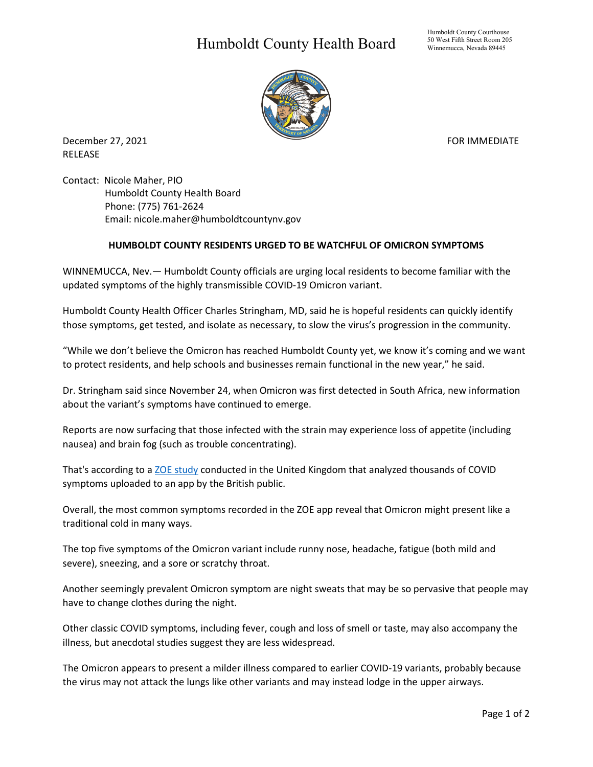## Humboldt County Health Board

Humboldt County Courthouse 50 West Fifth Street Room 205 Winnemucca, Nevada 89445



December 27, 2021 **FOR IMMEDIATE** RELEASE

Contact: Nicole Maher, PIO Humboldt County Health Board Phone: (775) 761-2624 Email: nicole.maher@humboldtcountynv.gov

## **HUMBOLDT COUNTY RESIDENTS URGED TO BE WATCHFUL OF OMICRON SYMPTOMS**

WINNEMUCCA, Nev.— Humboldt County officials are urging local residents to become familiar with the updated symptoms of the highly transmissible COVID-19 Omicron variant.

Humboldt County Health Officer Charles Stringham, MD, said he is hopeful residents can quickly identify those symptoms, get tested, and isolate as necessary, to slow the virus's progression in the community.

"While we don't believe the Omicron has reached Humboldt County yet, we know it's coming and we want to protect residents, and help schools and businesses remain functional in the new year," he said.

Dr. Stringham said since November 24, when Omicron was first detected in South Africa, new information about the variant's symptoms have continued to emerge.

Reports are now surfacing that those infected with the strain may experience loss of appetite (including nausea) and brain fog (such as trouble concentrating).

That's according to a [ZOE study](https://covid.joinzoe.com/us-2) conducted in the United Kingdom that analyzed thousands of COVID symptoms uploaded to an app by the British public.

Overall, the most common symptoms recorded in the ZOE app reveal that Omicron might present like a traditional cold in many ways.

The top five symptoms of the Omicron variant include runny nose, headache, fatigue (both mild and severe), sneezing, and a sore or scratchy throat.

Another seemingly prevalent Omicron symptom are night sweats that may be so pervasive that people may have to change clothes during the night.

Other classic COVID symptoms, including fever, cough and loss of smell or taste, may also accompany the illness, but anecdotal studies suggest they are less widespread.

The Omicron appears to present a milder illness compared to earlier COVID-19 variants, probably because the virus may not attack the lungs like other variants and may instead lodge in the upper airways.